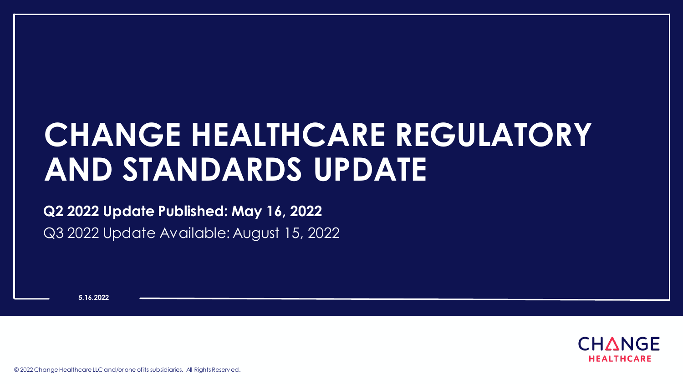# **CHANGE HEALTHCARE REGULATORY AND STANDARDS UPDATE**

#### **Q2 2022 Update Published: May 16, 2022**

Q3 2022 Update Available: August 15, 2022

**5.16.2022**



© 2022 Change Healthcare LLC and/or one of its subsidiaries. All Rights Reserv ed.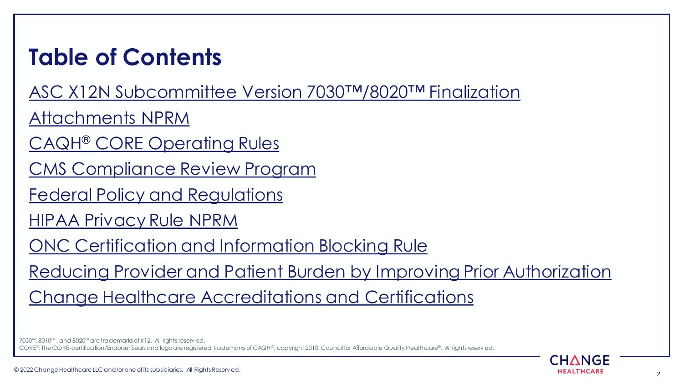# **Table of Contents**

[ASC X12N Subcommittee Version 7030](#page-3-0)™/8020™ Finalization

[Attachments NPRM](#page-10-0)

CAQH® [CORE Operating Rules](#page-15-0)

[CMS Compliance Review Program](#page-22-0)

[Federal Policy and Regulations](#page-25-0)

[HIPAA Privacy Rule NPRM](#page-50-0)

[ONC Certification and Information Blocking Rule](#page-52-0)

[Reducing Provider and Patient Burden by Improving Prior Authorization](#page-56-0)

[Change Healthcare Accreditations and Certifications](#page-59-0)

7030™, 8010™ , and 8020™ are trademarks of X12. All rights reserv ed. CORE®, the CORE-certification/Endorser Seals and logo are registered trademarks of CAQH®, copyright 2010, Council for Affordable Quality Healthcare®. All rights reserv ed.

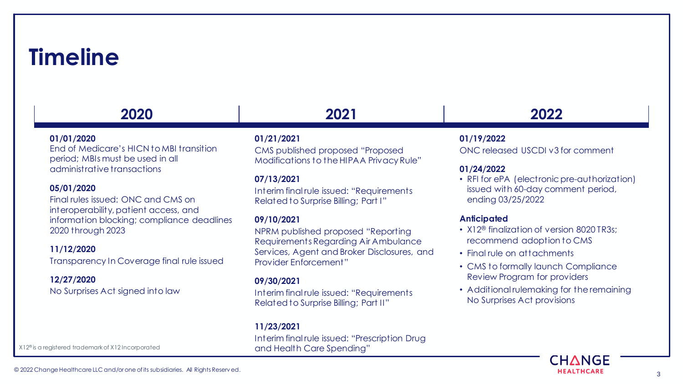### **Timeline**

### **2020 2021 2022**

#### **01/01/2020**

End of Medicare's HICN to MBI transition period; MBIs must be used in all administrative transactions

#### **05/01/2020**

Final rules issued: ONC and CMS on interoperability, patient access, and information blocking; compliance deadlines 2020 through 2023

#### **11/12/2020**

Transparency In Coverage final rule issued

#### **12/27/2020**

No Surprises Act signed into law

#### **01/21/2021**

CMS published proposed "Proposed Modifications to the HIPAA Privacy Rule"

#### **07/13/2021**

Interim final rule issued: "Requirements Related to Surprise Billing; Part I"

#### **09/10/2021**

NPRM published proposed "Reporting Requirements Regarding Air Ambulance Services, Agent and Broker Disclosures, and Provider Enforcement"

#### **09/30/2021**

Interim final rule issued: "Requirements Related to Surprise Billing; Part II"

#### **11/23/2021**

Interim final rule issued: "Prescription Drug and Health Care Spending"

#### **01/19/2022**

ONC released USCDI v3 for comment

#### **01/24/2022**

• RFI for ePA (electronic pre-authorization) issued with 60-day comment period, ending 03/25/2022

#### **Anticipated**

- X12<sup>®</sup> finalization of version 8020 TR3s; recommend adoption to CMS
- Final rule on attachments
- CMS to formally launch Compliance Review Program for providers
- Additional rulemaking for the remaining No Surprises Act provisions



X12® is a registered trademark of X12 Incorporated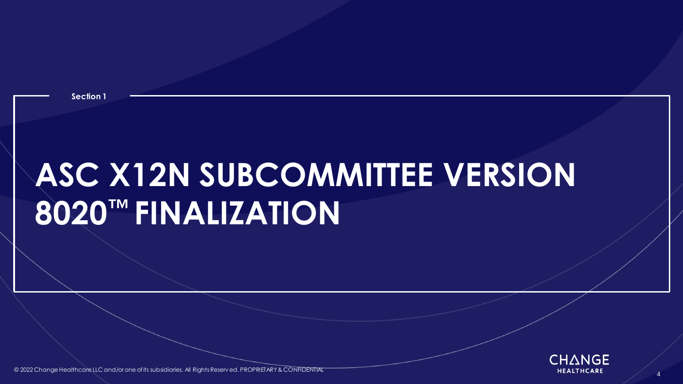

<span id="page-3-0"></span>© 2022 Change Healthcare LLC and/or one of its subsidiaries. All Rights Reserv ed. PROPRIETARY & CONFIDENTIAL All Rights Reserved and All Rights Reserved. PROPRIETARY & CONFIDENTIAL All Rights Reserved and All Rights Reser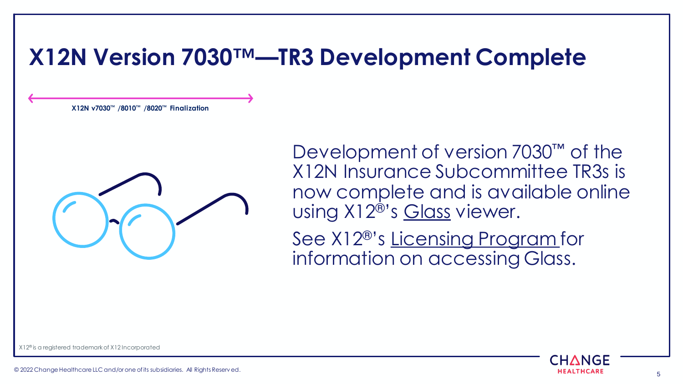### **X12N Version 7030™—TR3 Development Complete**

**X12N v7030™ /8010™ /8020™ Finalization**

Development of version 7030<sup>™</sup> of the X12N Insurance Subcommittee TR3s is now complete and is available online using X12®'s [Glass](https://x12.org/products/glass) viewer.

See X12®'s [Licensing Program f](https://x12.org/products/licensing-program)or information on accessing Glass.

X12® is a registered trademark of X12 Incorporated

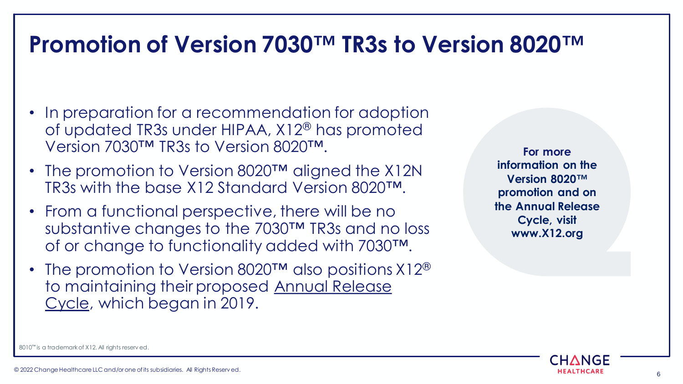### **Promotion of Version 7030™ TR3s to Version 8020™**

- In preparation for a recommendation for adoption of updated TR3s under HIPAA, X12® has promoted Version 7030™ TR3s to Version 8020™.
- The promotion to Version 8020™ aligned the X12N TR3s with the base X12 Standard Version 8020™.
- From a functional perspective, there will be no substantive changes to the 7030™ TR3s and no loss of or change to functionality added with 7030™.
- The promotion to Version 8020 $TM$  also positions  $X12^@$ [to maintaining their proposed Annual Release](#page-8-0)  Cycle, which began in 2019.

**For more information on the Version 8020™ promotion and on the Annual Release Cycle, visit www.X12.org**



8010™ is a trademark of X12. All rights reserv ed.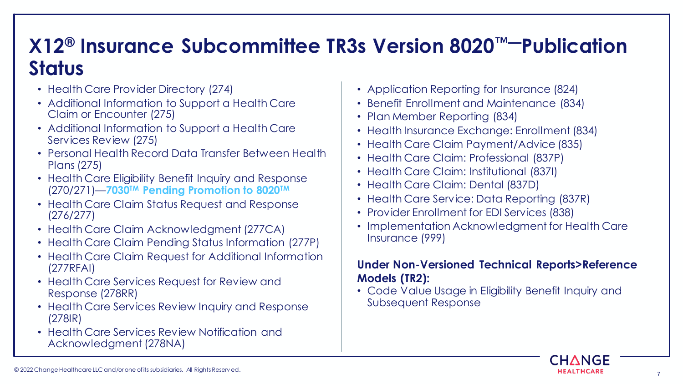### **X12® Insurance Subcommittee TR3s Version 8020™—Publication Status**

- Health Care Provider Directory (274)
- Additional Information to Support a Health Care Claim or Encounter (275)
- Additional Information to Support a Health Care Services Review (275)
- Personal Health Record Data Transfer Between Health Plans (275)
- Health Care Eligibility Benefit Inquiry and Response (270/271)—**7030TM Pending Promotion to 8020TM**
- Health Care Claim Status Request and Response (276/277)
- Health Care Claim Acknowledgment (277CA)
- Health Care Claim Pending Status Information (277P)
- Health Care Claim Request for Additional Information (277RFAI)
- Health Care Services Request for Review and Response (278RR)
- Health Care Services Review Inquiry and Response (278IR)
- Health Care Services Review Notification and Acknowledgment (278NA)
- Application Reporting for Insurance (824)
- Benefit Enrollment and Maintenance (834)
- Plan Member Reporting (834)
- Health Insurance Exchange: Enrollment (834)
- Health Care Claim Payment/Advice (835)
- Health Care Claim: Professional (837P)
- Health Care Claim: Institutional (837I)
- Health Care Claim: Dental (837D)
- Health Care Service: Data Reporting (837R)
- Provider Enrollment for EDI Services (838)
- Implementation Acknowledgment for Health Care Insurance (999)

#### **Under Non-Versioned Technical Reports>Reference Models (TR2):**

• Code Value Usage in Eligibility Benefit Inquiry and Subsequent Response

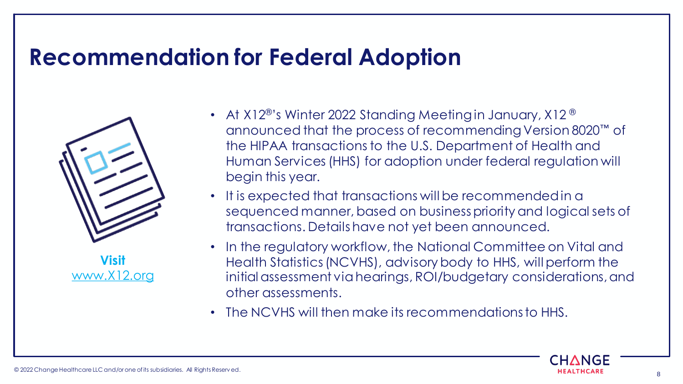### **Recommendation for Federal Adoption**



**Visit**  [www.X12.org](http://www.x12.org/)

- At X12®'s Winter 2022 Standing Meeting in January, X12 ® announced that the process of recommending Version 8020™ of the HIPAA transactions to the U.S. Department of Health and Human Services (HHS) for adoption under federal regulation will begin this year.
- It is expected that transactions will be recommended in a sequenced manner, based on business priority and logical sets of transactions. Details have not yet been announced.
- In the regulatory workflow, the National Committee on Vital and Health Statistics (NCVHS), advisory body to HHS, will perform the initial assessment via hearings, ROI/budgetary considerations, and other assessments.
- The NCVHS will then make its recommendations to HHS.

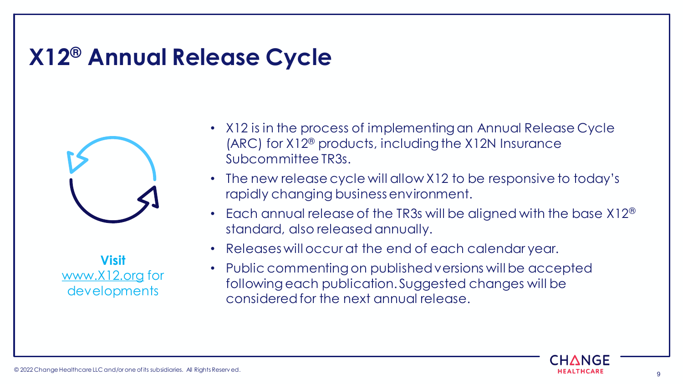# **X12® Annual Release Cycle**



<span id="page-8-0"></span>**Visit**  [www.X12.org](http://www.x12.org/) for developments

- X12 is in the process of implementing an Annual Release Cycle (ARC) for X12® products, including the X12N Insurance Subcommittee TR3s.
- The new release cycle will allow X12 to be responsive to today's rapidly changing business environment.
- Each annual release of the TR3s will be aligned with the base X12<sup>®</sup> standard, also released annually.
- Releases will occur at the end of each calendar year.
- Public commenting on published versions will be accepted following each publication. Suggested changes will be considered for the next annual release.

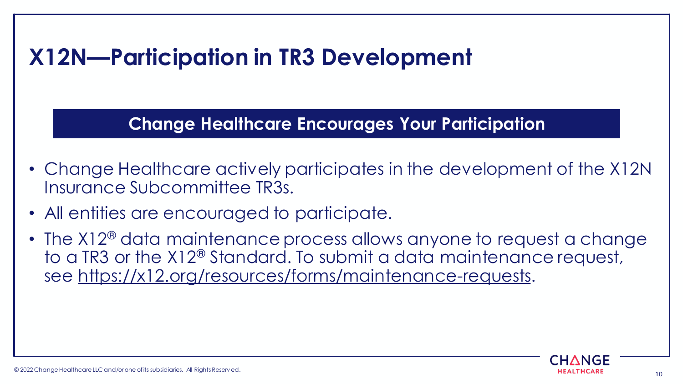## **X12N—Participation in TR3 Development**

**Change Healthcare Encourages Your Participation**

- Change Healthcare actively participates in the development of the X12N Insurance Subcommittee TR3s.
- All entities are encouraged to participate.
- The X12<sup>®</sup> data maintenance process allows anyone to request a change to a TR3 or the X12® Standard. To submit a data maintenance request, see [https://x12.org/resources/forms/maintenance-requests.](https://x12.org/resources/forms/maintenance-requests)

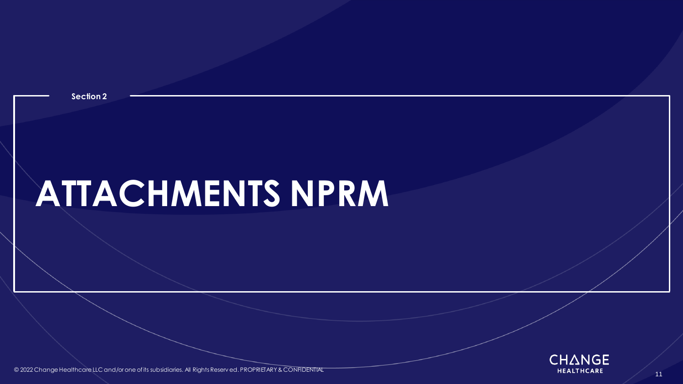<span id="page-10-0"></span>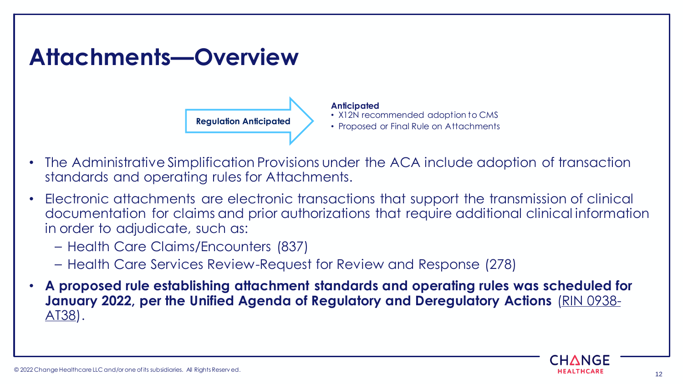

- The Administrative Simplification Provisions under the ACA include adoption of transaction standards and operating rules for Attachments.
- Electronic attachments are electronic transactions that support the transmission of clinical documentation for claims and prior authorizations that require additional clinical information in order to adjudicate, such as:
	- Health Care Claims/Encounters (837)
	- Health Care Services Review-Request for Review and Response (278)
- **A proposed rule establishing attachment standards and operating rules was scheduled for [January 2022, per the Unified Agenda of Regulatory and Deregulatory Actions](https://www.reginfo.gov/public/do/eAgendaViewRule?pubId=202110&RIN=0938-AT38)** (RIN 0938- AT38).

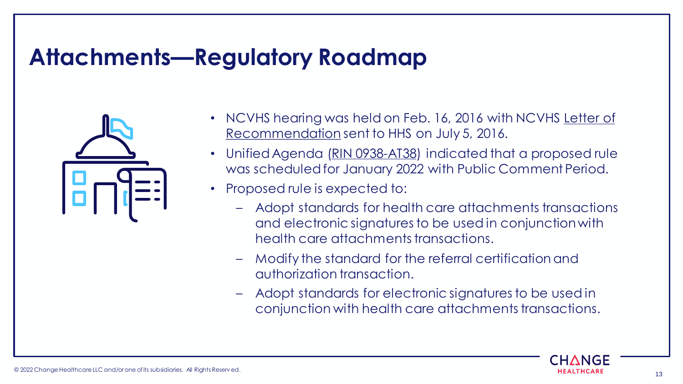### **Attachments—Regulatory Roadmap**



- [NCVHS hearing was held on Feb. 16, 2016 with NCVHS Letter of](https://www.ncvhs.hhs.gov/wp-content/uploads/2013/12/2016-Ltr-Attachments-July-1-Final-Chair-CLEAN-for-Submission-Publication.pdf)  Recommendation sent to HHS on July 5, 2016.
- Unified Agenda [\(RIN 0938-AT38\)](https://www.reginfo.gov/public/do/eAgendaViewRule?pubId=202104&RIN=0938-AT38) indicated that a proposed rule was scheduled for January 2022 with Public Comment Period.
- Proposed rule is expected to:
	- Adopt standards for health care attachments transactions and electronic signatures to be used in conjunction with health care attachments transactions.
	- Modify the standard for the referral certification and authorization transaction.
	- Adopt standards for electronic signatures to be used in conjunction with health care attachments transactions.

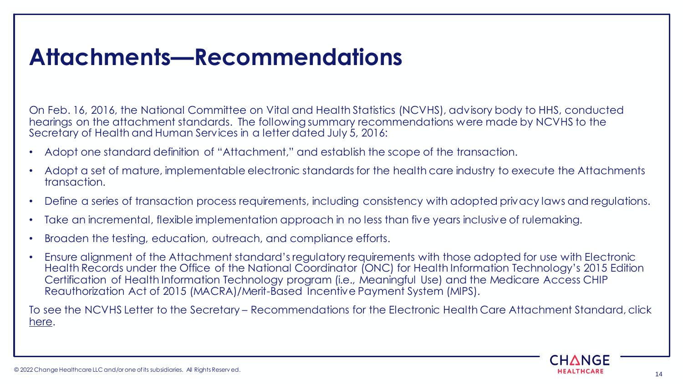### **Attachments—Recommendations**

On Feb. 16, 2016, the National Committee on Vital and Health Statistics (NCVHS), advisory body to HHS, conducted hearings on the attachment standards. The following summary recommendations were made by NCVHS to the Secretary of Health and Human Services in a letter dated July 5, 2016:

- Adopt one standard definition of "Attachment," and establish the scope of the transaction.
- Adopt a set of mature, implementable electronic standards for the health care industry to execute the Attachments transaction.
- Define a series of transaction process requirements, including consistency with adopted privacy laws and regulations.
- Take an incremental, flexible implementation approach in no less than five years inclusive of rulemaking.
- Broaden the testing, education, outreach, and compliance efforts.
- Ensure alignment of the Attachment standard's regulatory requirements with those adopted for use with Electronic Health Records under the Office of the National Coordinator (ONC) for Health Information Technology's 2015 Edition Certification of Health Information Technology program (i.e., Meaningful Use) and the Medicare Access CHIP Reauthorization Act of 2015 (MACRA)/Merit-Based Incentive Payment System (MIPS).

To see the NCVHS Letter to the Secretary – Recommendations for the Electronic Health Care Attachment Standard, click [here.](https://www.ncvhs.hhs.gov/wp-content/uploads/2013/12/2016-Ltr-Attachments-July-1-Final-Chair-CLEAN-for-Submission-Publication.pdf)

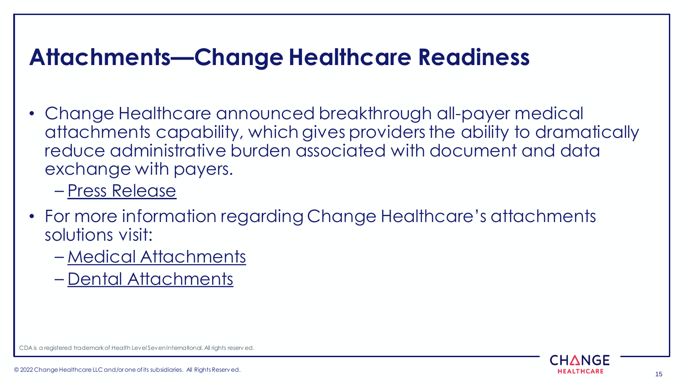## **Attachments—Change Healthcare Readiness**

- Change Healthcare announced breakthrough all-payer medical attachments capability, which gives providers the ability to dramatically reduce administrative burden associated with document and data exchange with payers.
	- [Press Release](https://www.businesswire.com/news/home/20200113005218/en/Change-Healthcare-Announces-Provider-Payer-Data-Exchange-Solution)
- For more information regarding Change Healthcare's attachments solutions visit:
	- [Medical Attachments](https://www.changehealthcare.com/solutions/medical-network/medical-claim-attachments)
	- [Dental Attachments](https://www.changehealthcare.com/solutions/dental-network/dental-claim-attachments)

CDA is a registered trademark of Health Level Seven International. All rights reserv ed.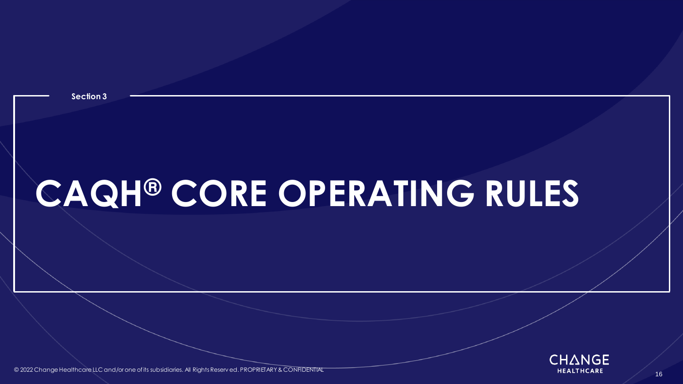<span id="page-15-0"></span>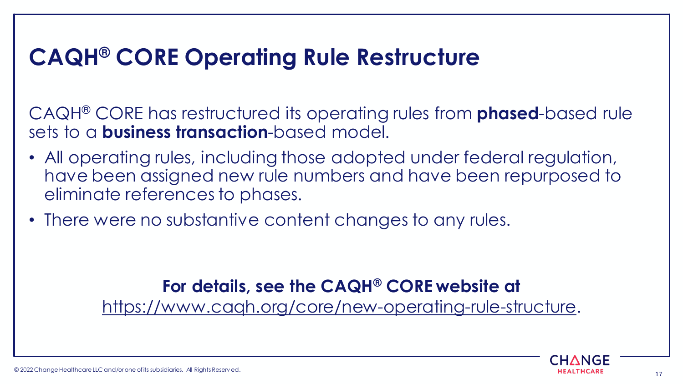## **CAQH® CORE Operating Rule Restructure**

CAQH® CORE has restructured its operating rules from **phased**-based rule sets to a **business transaction**-based model.

- All operating rules, including those adopted under federal regulation, have been assigned new rule numbers and have been repurposed to eliminate references to phases.
- There were no substantive content changes to any rules.

### **For details, see the CAQH® CORE website at**

[https://www.caqh.org/core/new-operating-rule-structure.](https://www.caqh.org/core/new-operating-rule-structure)

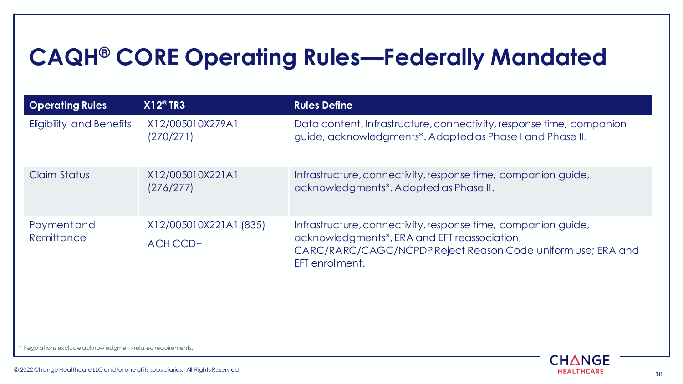### **CAQH® CORE Operating Rules—Federally Mandated**

| <b>Operating Rules</b>          | $X12^{\circledR}$ TR3              | <b>Rules Define</b>                                                                                                                                                                              |
|---------------------------------|------------------------------------|--------------------------------------------------------------------------------------------------------------------------------------------------------------------------------------------------|
| <b>Eligibility and Benefits</b> | X12/005010X279A1<br>(270/271)      | Data content, Infrastructure, connectivity, response time, companion<br>guide, acknowledgments*. Adopted as Phase I and Phase II.                                                                |
| Claim Status                    | X12/005010X221A1<br>(276/277)      | Infrastructure, connectivity, response time, companion guide,<br>acknowledgments*. Adopted as Phase II.                                                                                          |
| Payment and<br>Remittance       | X12/005010X221A1 (835)<br>ACH CCD+ | Infrastructure, connectivity, response time, companion guide,<br>acknowledgments*, ERA and EFT reassociation,<br>CARC/RARC/CAGC/NCPDP Reject Reason Code uniform use; ERA and<br>EFT enrollment. |

\* Regulations exclude acknowledgment-related requirements.



© 2022 Change Healthcare LLC and/or one of its subsidiaries. All Rights Reserv ed. 18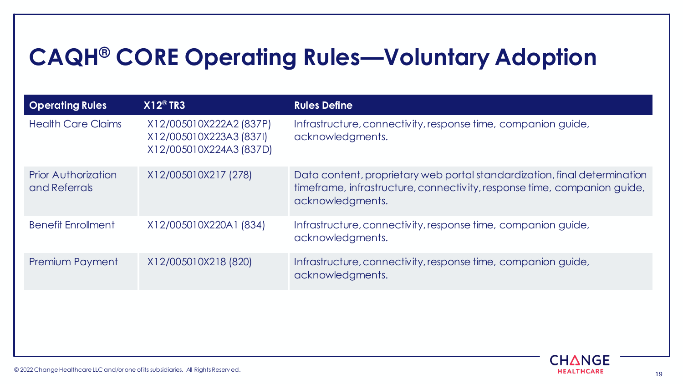## **CAQH® CORE Operating Rules—Voluntary Adoption**

| <b>Operating Rules</b>                      | $X12^{\circledR}$ TR3                                                         | <b>Rules Define</b>                                                                                                                                                       |
|---------------------------------------------|-------------------------------------------------------------------------------|---------------------------------------------------------------------------------------------------------------------------------------------------------------------------|
| <b>Health Care Claims</b>                   | X12/005010X222A2 (837P)<br>X12/005010X223A3 (837I)<br>X12/005010X224A3 (837D) | Infrastructure, connectivity, response time, companion guide,<br>acknowledgments.                                                                                         |
| <b>Prior Authorization</b><br>and Referrals | X12/005010X217 (278)                                                          | Data content, proprietary web portal standardization, final determination<br>timeframe, infrastructure, connectivity, response time, companion guide,<br>acknowledgments. |
| <b>Benefit Enrollment</b>                   | X12/005010X220A1 (834)                                                        | Infrastructure, connectivity, response time, companion guide,<br>acknowledgments.                                                                                         |
| Premium Payment                             | X12/005010X218 (820)                                                          | Infrastructure, connectivity, response time, companion guide,<br>acknowledgments.                                                                                         |
|                                             |                                                                               |                                                                                                                                                                           |
|                                             |                                                                               |                                                                                                                                                                           |

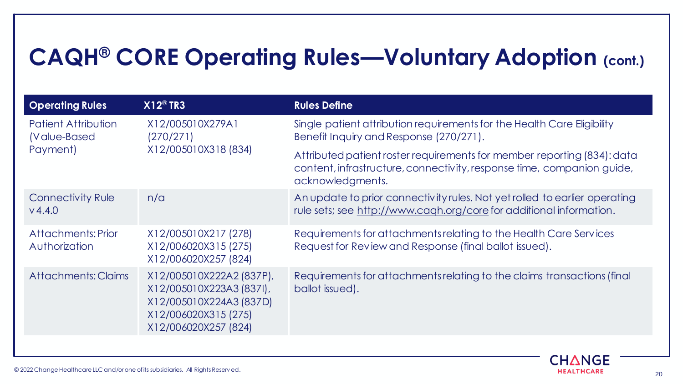## **CAQH® CORE Operating Rules—Voluntary Adoption (cont.)**

| <b>Operating Rules</b>                                  | $X12^{\circledR}$ TR3                                                                                                           | <b>Rules Define</b>                                                                                                                                                   |
|---------------------------------------------------------|---------------------------------------------------------------------------------------------------------------------------------|-----------------------------------------------------------------------------------------------------------------------------------------------------------------------|
| <b>Patient Attribution</b><br>(Value-Based)<br>Payment) | X12/005010X279A1<br>(270/271)<br>X12/005010X318 (834)                                                                           | Single patient attribution requirements for the Health Care Eligibility<br>Benefit Inquiry and Response (270/271).                                                    |
|                                                         |                                                                                                                                 | Attributed patient roster requirements for member reporting (834): data<br>content, infrastructure, connectivity, response time, companion guide,<br>acknowledgments. |
| Connectivity Rule<br>V4.4.0                             | n/a                                                                                                                             | An update to prior connectivity rules. Not yet rolled to earlier operating<br>rule sets; see http://www.cagh.org/core for additional information.                     |
| Attachments: Prior<br>Authorization                     | X12/005010X217 (278)<br>X12/006020X315 (275)<br>X12/006020X257 (824)                                                            | Requirements for attachments relating to the Health Care Services<br>Request for Review and Response (final ballot issued).                                           |
| Attachments: Claims                                     | X12/005010X222A2 (837P),<br>X12/005010X223A3 (837I),<br>X12/005010X224A3 (837D)<br>X12/006020X315 (275)<br>X12/006020X257 (824) | Requirements for attachments relating to the claims transactions (final<br>ballot issued).                                                                            |

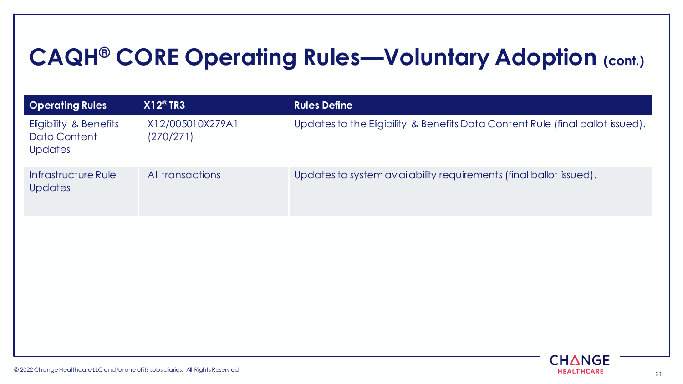# **CAQH® CORE Operating Rules—Voluntary Adoption (cont.)**

| $X12^{\circledR}$ TR3         | <b>Rules Define</b>                                                            |
|-------------------------------|--------------------------------------------------------------------------------|
| X12/005010X279A1<br>(270/271) | Updates to the Eligibility & Benefits Data Content Rule (final ballot issued). |
| All transactions              | Updates to system availability requirements (final ballot issued).             |
|                               |                                                                                |
|                               |                                                                                |
|                               |                                                                                |
|                               |                                                                                |

CHANGE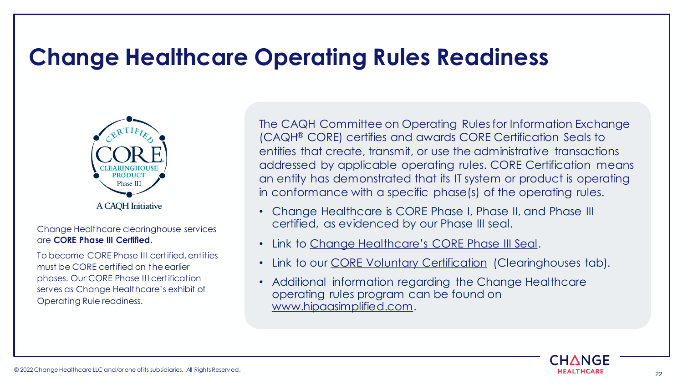### **Change Healthcare Operating Rules Readiness**



Change Healthcare clearinghouse services are **CORE Phase III Certified.** 

To become CORE Phase III certified, entities must be CORE certified on the earlier phases. Our CORE Phase III certification serves as Change Healthcare's exhibit of Operating Rule readiness.

The CAQH Committee on Operating Rules for Information Exchange (CAQH® CORE) certifies and awards CORE Certification Seals to entities that create, transmit, or use the administrative transactions addressed by applicable operating rules. CORE Certification means an entity has demonstrated that its IT system or product is operating in conformance with a specific phase(s) of the operating rules.

- Change Healthcare is CORE Phase I, Phase II, and Phase III certified, as evidenced by our Phase III seal.
- Link to [Change Healthcare's CORE Phase III Seal](https://www.changehealthcare.com/about/accreditations-certifications).
- Link to our [CORE V](http://www.caqh.org/core/core-certified-organizations-pending-and-current)[oluntar](https://www.caqh.org/core/core-certified-organizations-pending-and-current)[y Certification](http://www.caqh.org/core/core-certified-organizations-pending-and-current) (Clearinghouses tab).
- Additional information regarding the Change Healthcare operating rules program can be found on [www.hipaasimplified.com.](https://support.changehealthcare.com/customer-resources/hipaa-simplified)

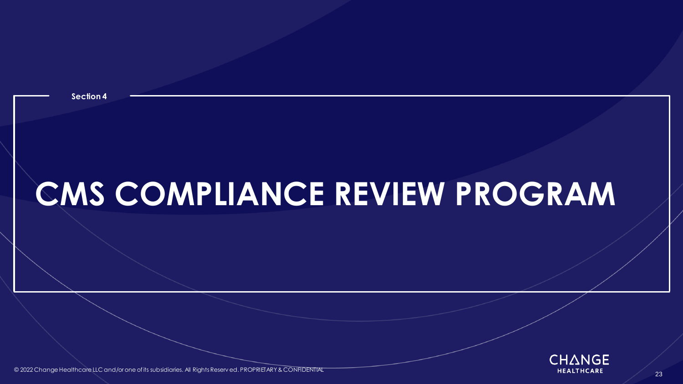

<span id="page-22-0"></span>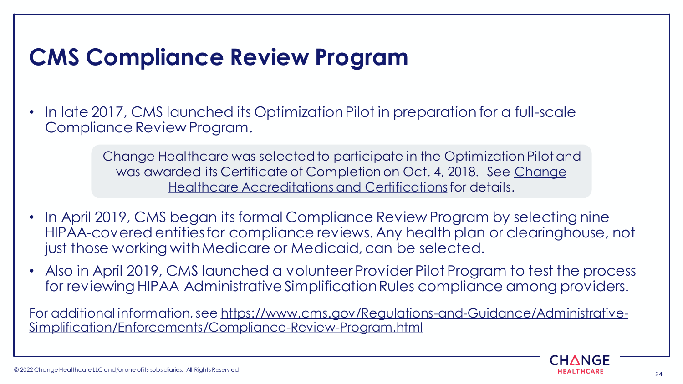## **CMS Compliance Review Program**

• In late 2017, CMS launched its Optimization Pilot in preparation for a full-scale Compliance Review Program.

> Change Healthcare was selected to participate in the Optimization Pilot and was aw[arded its Certificate of Completion on Oct. 4, 2018. See Change](#page-59-0)  Healthcare Accreditations and Certificationsfor details.

- In April 2019, CMS began its formal Compliance Review Program by selecting nine HIPAA-covered entities for compliance reviews. Any health plan or clearinghouse, not just those working with Medicare or Medicaid, can be selected.
- Also in April 2019, CMS launched a volunteer Provider Pilot Program to test the process for reviewing HIPAA Administrative Simplification Rules compliance among providers.

[For additional information, see https://www.cms.gov/Regulations-and-Guidance/Administrative-](https://www.cms.gov/Regulations-and-Guidance/Administrative-Simplification/Enforcements/Compliance-Review-Program.html)Simplification/Enforcements/Compliance-Review-Program.html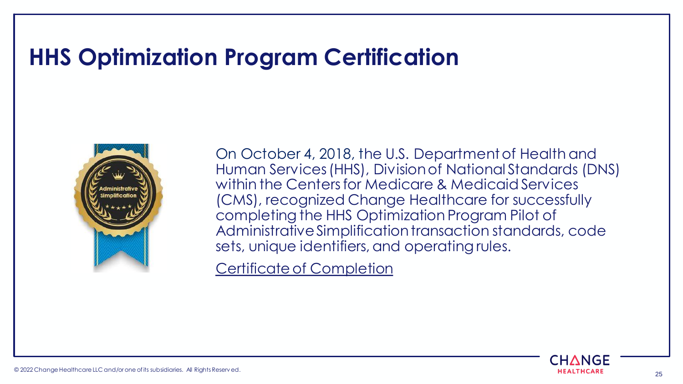### **HHS Optimization Program Certification**



On October 4, 2018, the U.S. Department of Health and Human Services (HHS), Division of National Standards (DNS) within the Centers for Medicare & Medicaid Services (CMS), recognized Change Healthcare for successfully completing the HHS Optimization Program Pilot of Administrative Simplification transaction standards, code sets, unique identifiers, and operating rules.

[Certificate of Completion](https://www.changehealthcare.com/content/dam/change-healthcare/corporate-site/about/accreditations-certifications/asett_hhsoptimizationprogrampilot_certificate_change_healthcare_20181004.pdf)

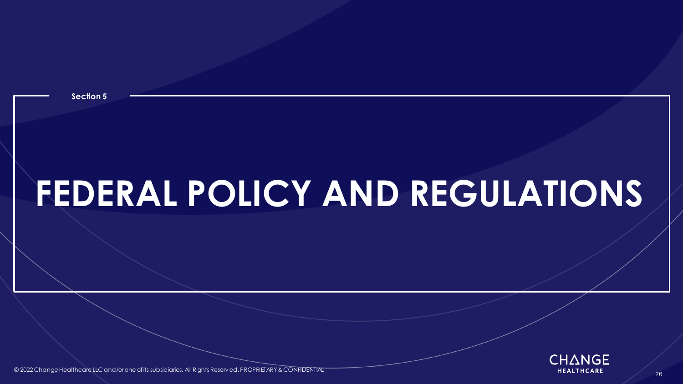<span id="page-25-0"></span>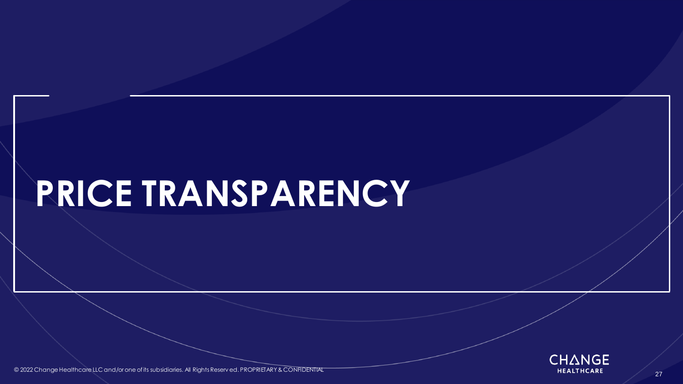# **PRICE TRANSPARENCY**



© 2022 Change Healthcare LLC and/or one of its subsidiaries. All Rights Reserv ed. PROPRIETARY & CONFIDENTIAL **All Rights Reserved and All Rights Reserved** PROPRIETARY & CONFIDENTIAL **All Rights Reserved and All Rights Res**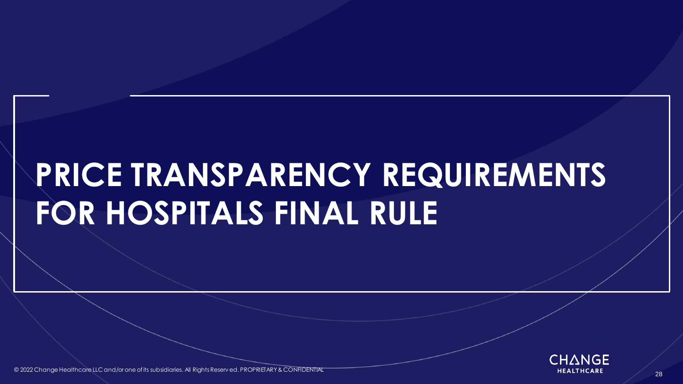# **PRICE TRANSPARENCY REQUIREMENTS FOR HOSPITALS FINAL RULE**



© 2022 Change Healthcare LLC and/or one of its subsidiaries. All Rights Reserv ed. PROPRIETARY & CONFIDENTIAL All Rights Reserved and the subsidiaries. All Rights Reserved. PROPRIETARY & CONFIDENTIAL All reserve the contro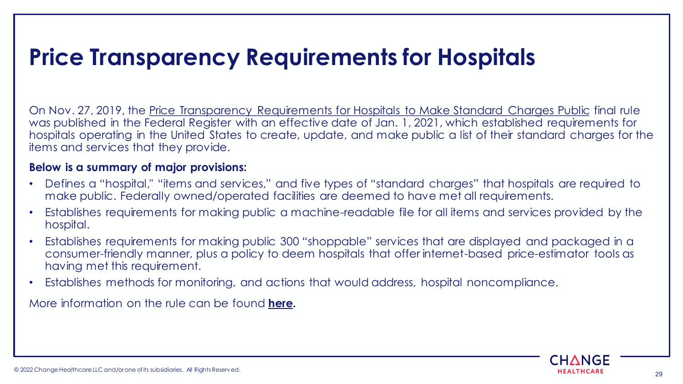# **Price Transparency Requirements for Hospitals**

On Nov. 27, 2019, the [Price Transparency Requirements for Hospitals to Make Standard Charges Public](https://www.federalregister.gov/documents/2019/11/27/2019-24931/medicare-and-medicaid-programs-cy-2020-hospital-outpatient-pps-policy-changes-and-payment-rates-and) final rule was published in the Federal Register with an effective date of Jan. 1, 2021, which established requirements for hospitals operating in the United States to create, update, and make public a list of their standard charges for the items and services that they provide.

#### **Below is a summary of major provisions:**

- Defines a "hospital," "items and services," and five types of "standard charges" that hospitals are required to make public. Federally owned/operated facilities are deemed to have met all requirements.
- Establishes requirements for making public a machine-readable file for all items and services provided by the hospital.
- Establishes requirements for making public 300 "shoppable" services that are displayed and packaged in a consumer-friendly manner, plus a policy to deem hospitals that offer internet-based price-estimator tools as having met this requirement.
- Establishes methods for monitoring, and actions that would address, hospital noncompliance.

More information on the rule can be found **[here.](https://www.cms.gov/hospital-price-transparency)**

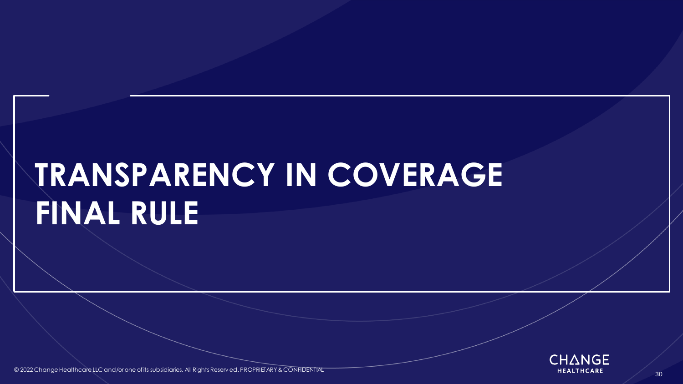# **TRANSPARENCY IN COVERAGE FINAL RULE**



© 2022 Change Healthcare LLC and/or one of its subsidiaries. All Rights Reserv ed. PROPRIETARY & CONFIDENTIAL All reserved and the subsidiaries. All Rights Reserv ed. PROPRIETARY & CONFIDENTIAL All reserve the control of t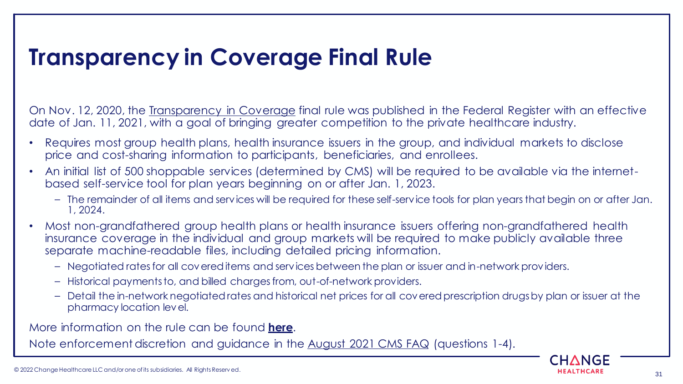## **Transparency in Coverage Final Rule**

On Nov. 12, 2020, the [Transparency in Coverage](https://www.federalregister.gov/documents/2020/11/12/2020-24591/transparency-in-coverage) final rule was published in the Federal Register with an effective date of Jan. 11, 2021, with a goal of bringing greater competition to the private healthcare industry.

- Requires most group health plans, health insurance issuers in the group, and individual markets to disclose price and cost-sharing information to participants, beneficiaries, and enrollees.
- An initial list of 500 shoppable services (determined by CMS) will be required to be available via the internetbased self-service tool for plan years beginning on or after Jan. 1, 2023.
	- The remainder of all items and services will be required for these self-service tools for plan years that begin on or after Jan. 1, 2024.
- Most non-grandfathered group health plans or health insurance issuers offering non-grandfathered health insurance coverage in the individual and group markets will be required to make publicly available three separate machine-readable files, including detailed pricing information.
	- Negotiated rates for all covered items and services between the plan or issuer and in-network providers.
	- Historical payments to, and billed charges from, out-of-network providers.
	- Detail the in-network negotiated rates and historical net prices for all covered prescription drugs by plan or issuer at the pharmacy location level.

More information on the rule can be found **[here](https://www.cms.gov/newsroom/fact-sheets/transparency-coverage-final-rule-fact-sheet-cms-9915-f)**.

Note enforcement discretion and guidance in the [August 2021 CMS FAQ](https://www.cms.gov/CCIIO/Resources/Fact-Sheets-and-FAQs/Downloads/FAQs-Part-49.pdf) (questions 1-4).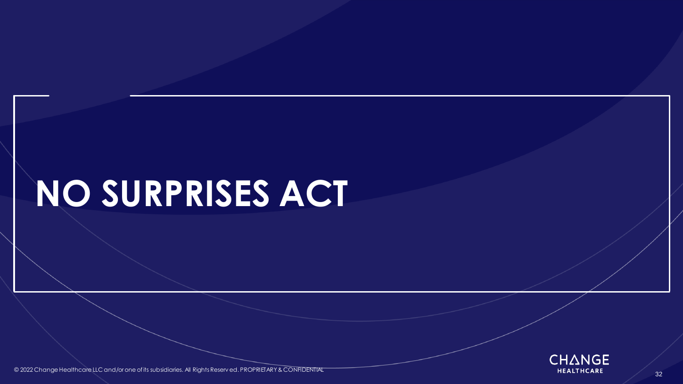# **NO SURPRISES ACT**



© 2022 Change Healthcare LLC and/or one of its subsidiaries. All Rights Reserv ed. PROPRIETARY & CONFIDENTIAL **All Rights Reserved and All Rights Reserved** and All Rights Reserved. PROPRIETARY & CONFIDENTIAL All reserve th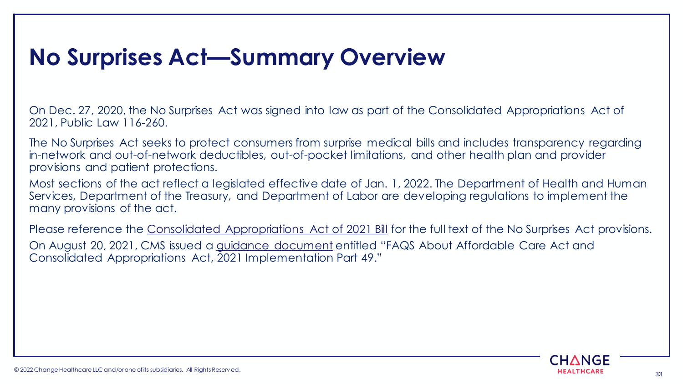# **No Surprises Act—Summary Overview**

On Dec. 27, 2020, the No Surprises Act was signed into law as part of the Consolidated Appropriations Act of 2021, Public Law 116-260.

The No Surprises Act seeks to protect consumers from surprise medical bills and includes transparency regarding in-network and out-of-network deductibles, out-of-pocket limitations, and other health plan and provider provisions and patient protections.

Most sections of the act reflect a legislated effective date of Jan. 1, 2022. The Department of Health and Human Services, Department of the Treasury, and Department of Labor are developing regulations to implement the many provisions of the act.

Please reference the [Consolidated Appropriations Act of 2021 Bill](https://www.congress.gov/116/bills/hr133/BILLS-116hr133enr.pdf) for the full text of the No Surprises Act provisions. On August 20, 2021, CMS issued a [guidance document](https://www.hhs.gov/guidance/document/faqs-about-affordable-care-act-and-consolidated-appropriations-act-2021-implementation-0) entitled "FAQS About Affordable Care Act and Consolidated Appropriations Act, 2021 Implementation Part 49."

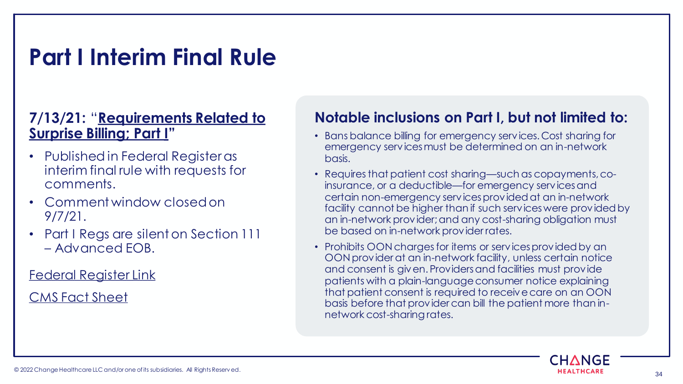## **Part I Interim Final Rule**

### **7/13/21:** "**[Requirements Related to](https://www.federalregister.gov/documents/2021/07/13/2021-14379/requirements-related-to-surprise-billing-part-i)  Surprise Billing; Part I"**

- Published in Federal Register as interim final rule with requests for comments.
- Comment window closed on 9/7/21.
- Part I Regs are silent on Section 111 – Advanced EOB.

[Federal Register Link](https://www.federalregister.gov/documents/2021/07/13/2021-14379/requirements-related-to-surprise-billing-part-i)

[CMS Fact Sheet](https://www.cms.gov/newsroom/fact-sheets/requirements-related-surprise-billing-part-i-interim-final-rule-comment-period)

### **Notable inclusions on Part I, but not limited to:**

- Bans balance billing for emergency services. Cost sharing for emergency services must be determined on an in-network basis.
- Requires that patient cost sharing—such as copayments, coinsurance, or a deductible—for emergency services and certain non-emergency services provided at an in-network facility cannot be higher than if such services were provided by an in-network provider; and any cost-sharing obligation must be based on in-network provider rates.
- Prohibits OON charges for items or services provided by an OON provider at an in-network facility, unless certain notice and consent is given. Providers and facilities must provide patients with a plain-language consumer notice explaining that patient consent is required to receive care on an OON basis before that provider can bill the patient more than innetwork cost-sharing rates.

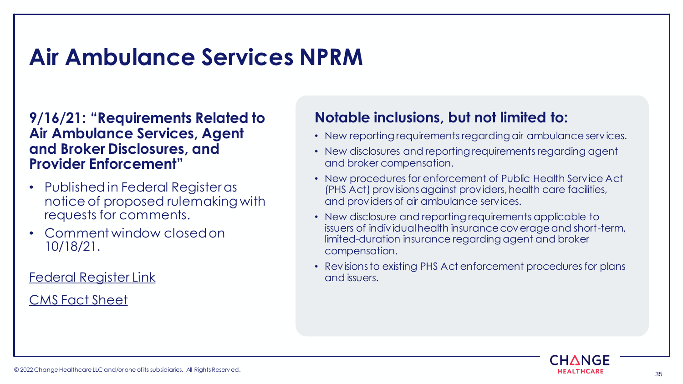## **Air Ambulance Services NPRM**

#### **9/16/21: "Requirements Related to Air Ambulance Services, Agent and Broker Disclosures, and Provider Enforcement"**

- Published in Federal Register as notice of proposed rulemaking with requests for comments.
- Comment window closed on 10/18/21.

[Federal Register Link](https://www.federalregister.gov/documents/2021/09/16/2021-19797/requirements-related-to-air-ambulance-services-agent-and-broker-disclosures-and-provider-enforcement)

[CMS Fact Sheet](https://www.cms.gov/newsroom/fact-sheets/air-ambulance-nprm-fact-sheet)

### **Notable inclusions, but not limited to:**

- New reporting requirements regarding air ambulance services.
- New disclosures and reporting requirements regarding agent and broker compensation.
- New procedures for enforcement of Public Health Service Act (PHS Act) provisions against providers, health care facilities, and providers of air ambulance services.
- New disclosure and reporting requirements applicable to issuers of individual health insurance coverage and short-term, limited-duration insurance regarding agent and broker compensation.
- Revisions to existing PHS Act enforcement procedures for plans and issuers.

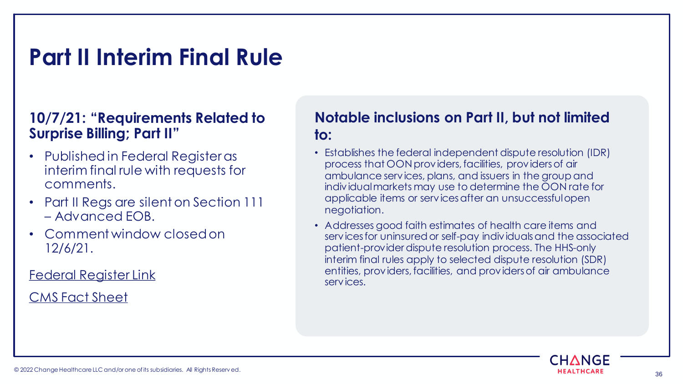## **Part II Interim Final Rule**

### **10/7/21: "Requirements Related to Surprise Billing; Part II"**

- Published in Federal Register as interim final rule with requests for comments.
- Part II Regs are silent on Section 111 – Advanced EOB.
- Comment window closed on 12/6/21.

[Federal Register Link](https://www.federalregister.gov/documents/2021/10/07/2021-21441/requirements-related-to-surprise-billing-part-ii)

[CMS Fact Sheet](https://www.cms.gov/newsroom/fact-sheets/requirements-related-surprise-billing-part-ii-interim-final-rule-comment-period)

### **Notable inclusions on Part II, but not limited to:**

- Establishes the federal independent dispute resolution (IDR) process that OON providers, facilities, providers of air ambulance services, plans, and issuers in the group and individual markets may use to determine the OON rate for applicable items or services after an unsuccessful open negotiation.
- Addresses good faith estimates of health care items and services for uninsured or self-pay individuals and the associated patient-provider dispute resolution process. The HHS-only interim final rules apply to selected dispute resolution (SDR) entities, providers, facilities, and providers of air ambulance services.

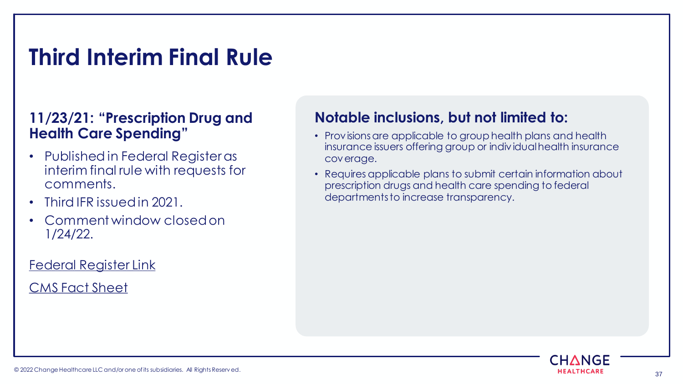# **Third Interim Final Rule**

### **11/23/21: "Prescription Drug and Health Care Spending"**

- Published in Federal Register as interim final rule with requests for comments.
- Third IFR issued in 2021.
- Comment window closed on 1/24/22.

#### [Federal Register Link](https://www.federalregister.gov/documents/2021/11/23/2021-25183/prescription-drug-and-health-care-spending)

#### [CMS Fact Sheet](https://www.cms.gov/newsroom/fact-sheets/prescription-drug-and-health-care-spending-interim-final-rule-request-comments)

### **Notable inclusions, but not limited to:**

- Provisions are applicable to group health plans and health insurance issuers offering group or individual health insurance coverage.
- Requires applicable plans to submit certain information about prescription drugs and health care spending to federal departments to increase transparency.

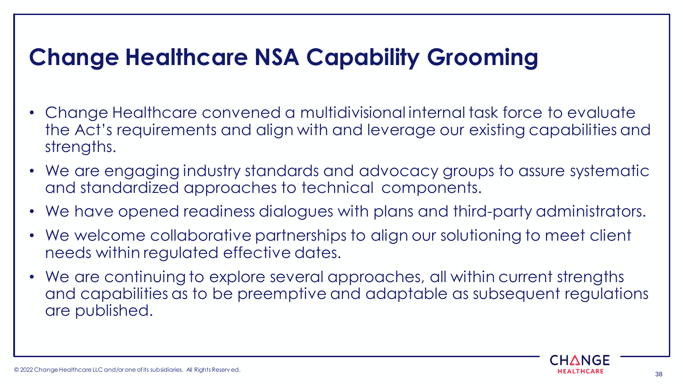# **Change Healthcare NSA Capability Grooming**

- Change Healthcare convened a multidivisional internal task force to evaluate the Act's requirements and align with and leverage our existing capabilities and strengths.
- We are engaging industry standards and advocacy groups to assure systematic and standardized approaches to technical components.
- We have opened readiness dialogues with plans and third-party administrators.
- We welcome collaborative partnerships to align our solutioning to meet client needs within regulated effective dates.
- We are continuing to explore several approaches, all within current strengths and capabilities as to be preemptive and adaptable as subsequent regulations are published.

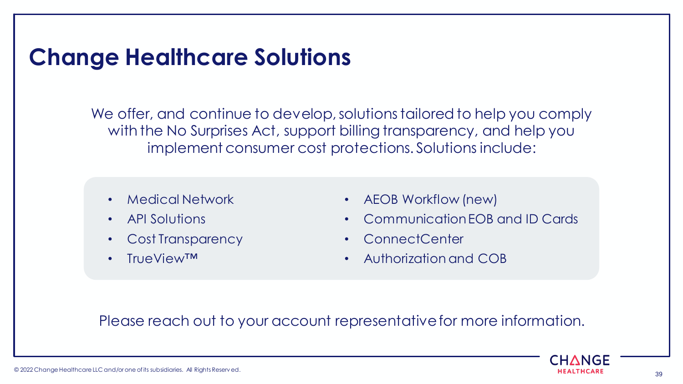### **Change Healthcare Solutions**

We offer, and continue to develop, solutions tailored to help you comply with the No Surprises Act, support billing transparency, and help you implement consumer cost protections. Solutions include:

- Medical Network
- API Solutions
- Cost Transparency
- TrueView™
- AEOB Workflow (new)
- Communication EOB and ID Cards
- ConnectCenter
- Authorization and COB

### Please reach out to your account representative for more information.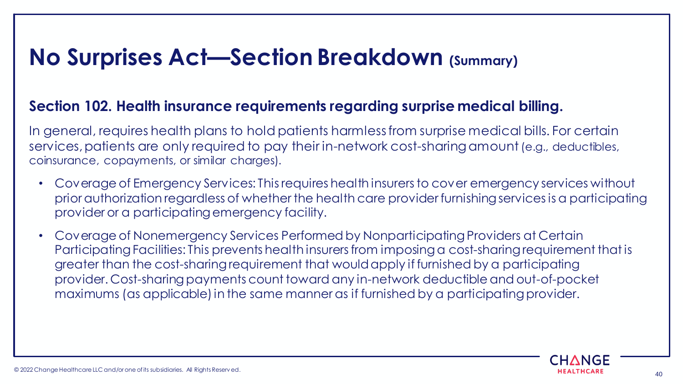#### **Section 102. Health insurance requirements regarding surprise medical billing.**

In general, requires health plans to hold patients harmless from surprise medical bills. For certain services, patients are only required to pay their in-network cost-sharing amount (e.g., deductibles, coinsurance, copayments, or similar charges).

- Coverage of Emergency Services: This requires health insurers to cover emergency services without prior authorization regardless of whether the health care provider furnishing services is a participating provider or a participating emergency facility.
- Coverage of Nonemergency Services Performed by Nonparticipating Providers at Certain Participating Facilities: This prevents health insurers from imposing a cost-sharing requirement that is greater than the cost-sharing requirement that would apply if furnished by a participating provider. Cost-sharing payments count toward any in-network deductible and out-of-pocket maximums (as applicable) in the same manner as if furnished by a participating provider.

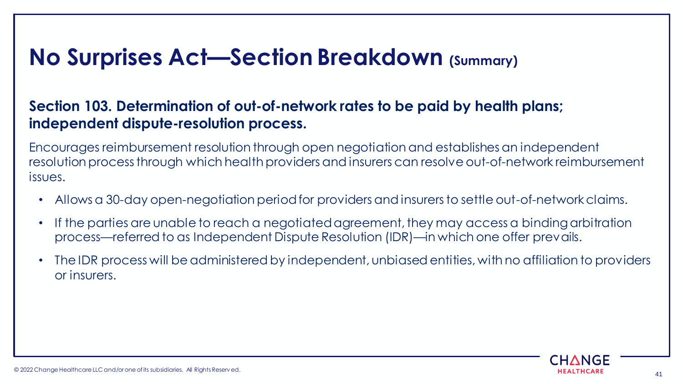### **Section 103. Determination of out-of-network rates to be paid by health plans; independent dispute-resolution process.**

Encourages reimbursement resolution through open negotiation and establishes an independent resolution process through which health providers and insurers can resolve out-of-network reimbursement issues.

- Allows a 30-day open-negotiation period for providers and insurers to settle out-of-network claims.
- If the parties are unable to reach a negotiated agreement, they may access a binding arbitration process—referred to as Independent Dispute Resolution (IDR)—in which one offer prevails.
- The IDR process will be administered by independent, unbiased entities, with no affiliation to providers or insurers.

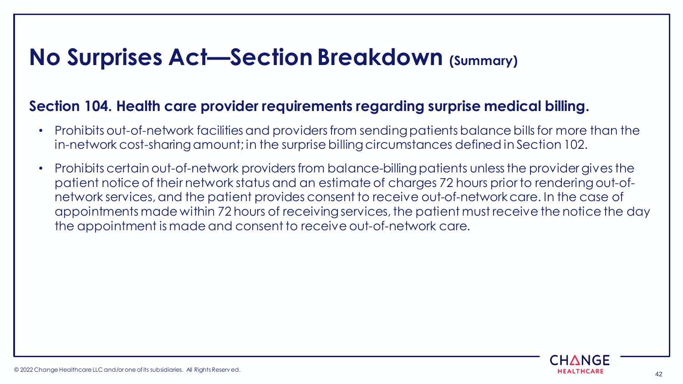#### **Section 104. Health care provider requirements regarding surprise medical billing.**

- Prohibits out-of-network facilities and providers from sending patients balance bills for more than the in-network cost-sharing amount; in the surprise billing circumstances defined in Section 102.
- Prohibits certain out-of-network providers from balance-billing patients unless the provider gives the patient notice of their network status and an estimate of charges 72 hours prior to rendering out-ofnetwork services, and the patient provides consent to receive out-of-network care. In the case of appointments made within 72 hours of receiving services, the patient must receive the notice the day the appointment is made and consent to receive out-of-network care.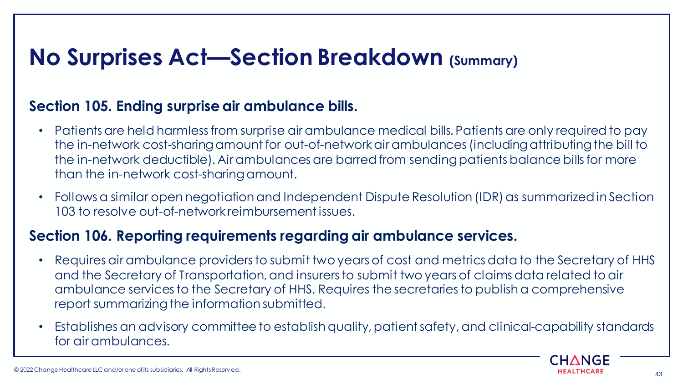### **Section 105. Ending surprise air ambulance bills.**

- Patients are held harmless from surprise air ambulance medical bills. Patients are only required to pay the in-network cost-sharing amount for out-of-network air ambulances (including attributing the bill to the in-network deductible). Air ambulances are barred from sending patients balance bills for more than the in-network cost-sharing amount.
- Follows a similar open negotiation and Independent Dispute Resolution (IDR) as summarized in Section 103 to resolve out-of-network reimbursement issues.

### **Section 106. Reporting requirements regarding air ambulance services.**

- Requires air ambulance providers to submit two years of cost and metrics data to the Secretary of HHS and the Secretary of Transportation, and insurers to submit two years of claims data related to air ambulance services to the Secretary of HHS. Requires the secretaries to publish a comprehensive report summarizing the information submitted.
- Establishes an advisory committee to establish quality, patient safety, and clinical-capability standards for air ambulances.

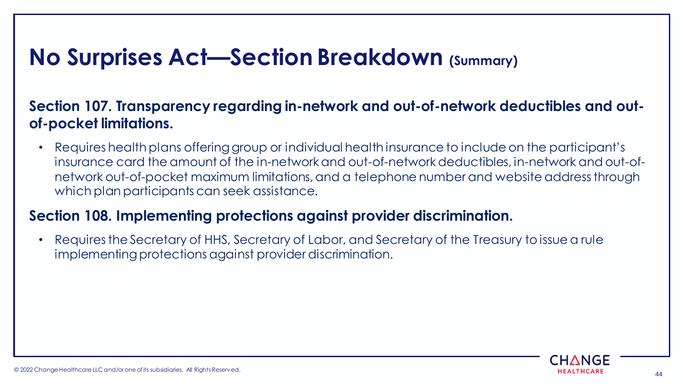### **Section 107. Transparency regarding in-network and out-of-network deductibles and outof-pocket limitations.**

• Requires health plans offering group or individual health insurance to include on the participant's insurance card the amount of the in-network and out-of-network deductibles, in-network and out-ofnetwork out-of-pocket maximum limitations, and a telephone number and website address through which plan participants can seek assistance.

### **Section 108. Implementing protections against provider discrimination.**

• Requires the Secretary of HHS, Secretary of Labor, and Secretary of the Treasury to issue a rule implementing protections against provider discrimination.

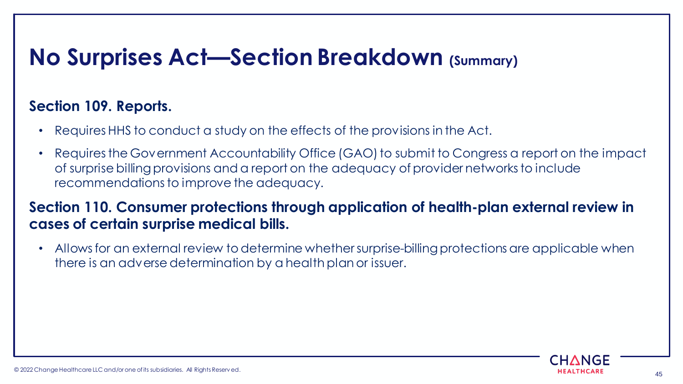### **Section 109. Reports.**

- Requires HHS to conduct a study on the effects of the provisions in the Act.
- Requires the Government Accountability Office (GAO) to submit to Congress a report on the impact of surprise billing provisions and a report on the adequacy of provider networks to include recommendations to improve the adequacy.

### **Section 110. Consumer protections through application of health-plan external review in cases of certain surprise medical bills.**

• Allows for an external review to determine whether surprise-billing protections are applicable when there is an adverse determination by a health plan or issuer.

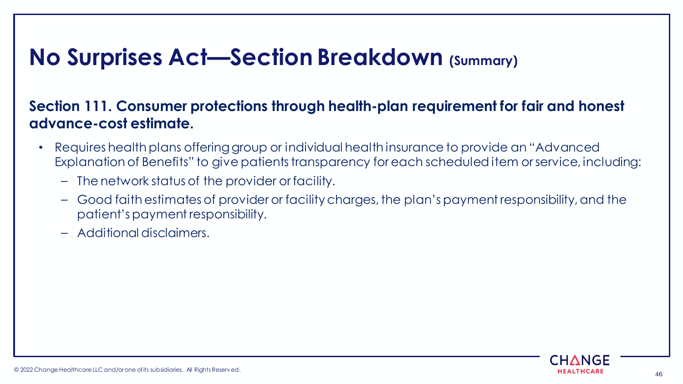### **Section 111. Consumer protections through health-plan requirement for fair and honest advance-cost estimate.**

- Requires health plans offering group or individual health insurance to provide an "Advanced Explanation of Benefits" to give patients transparency for each scheduled item or service, including:
	- The network status of the provider or facility.
	- Good faith estimates of provider or facility charges, the plan's payment responsibility, and the patient's payment responsibility.
	- Additional disclaimers.

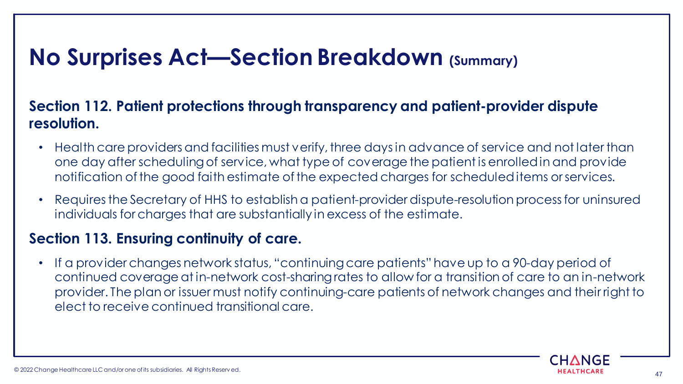### **Section 112. Patient protections through transparency and patient-provider dispute resolution.**

- Health care providers and facilities must verify, three days in advance of service and not later than one day after scheduling of service, what type of coverage the patient is enrolled in and provide notification of the good faith estimate of the expected charges for scheduled items or services.
- Requires the Secretary of HHS to establish a patient-provider dispute-resolution process for uninsured individuals for charges that are substantially in excess of the estimate.

#### **Section 113. Ensuring continuity of care.**

• If a provider changes network status, "continuing care patients" have up to a 90-day period of continued coverage at in-network cost-sharing rates to allow for a transition of care to an in-network provider. The plan or issuer must notify continuing-care patients of network changes and their right to elect to receive continued transitional care.

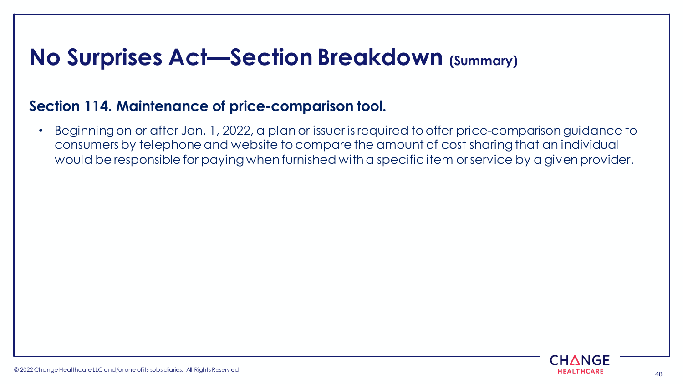### **Section 114. Maintenance of price-comparison tool.**

• Beginning on or after Jan. 1, 2022, a plan or issuer is required to offer price-comparison guidance to consumers by telephone and website to compare the amount of cost sharing that an individual would be responsible for paying when furnished with a specific item or service by a given provider.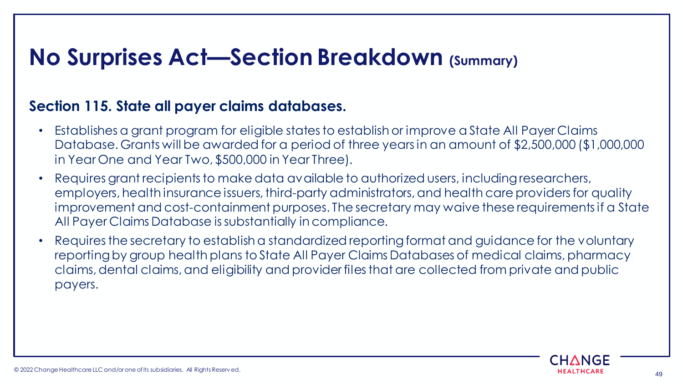#### **Section 115. State all payer claims databases.**

- Establishes a grant program for eligible states to establish or improve a State All Payer Claims Database. Grants will be awarded for a period of three years in an amount of \$2,500,000 (\$1,000,000 in Year One and Year Two, \$500,000 in Year Three).
- Requires grant recipients to make data available to authorized users, including researchers, employers, health insurance issuers, third-party administrators, and health care providers for quality improvement and cost-containment purposes. The secretary may waive these requirements if a State All Payer Claims Database is substantially in compliance.
- Requires the secretary to establish a standardized reporting format and guidance for the voluntary reporting by group health plans to State All Payer Claims Databases of medical claims, pharmacy claims, dental claims, and eligibility and provider files that are collected from private and public payers.

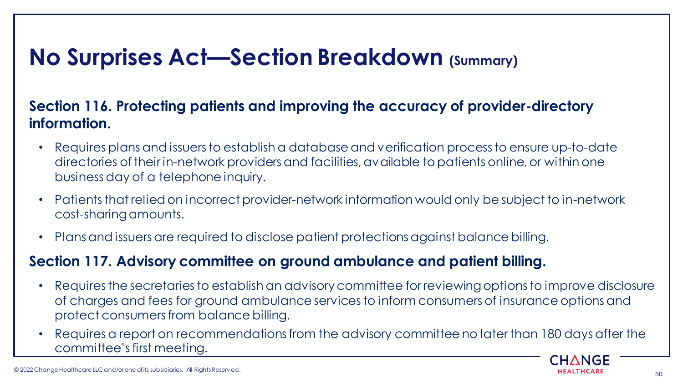### **Section 116. Protecting patients and improving the accuracy of provider-directory information.**

- Requires plans and issuers to establish a database and verification process to ensure up-to-date directories of their in-network providers and facilities, available to patients online, or within one business day of a telephone inquiry.
- Patients that relied on incorrect provider-network information would only be subject to in-network cost-sharing amounts.
- Plans and issuers are required to disclose patient protections against balance billing.

### **Section 117. Advisory committee on ground ambulance and patient billing.**

- Requires the secretaries to establish an advisory committee for reviewing options to improve disclosure of charges and fees for ground ambulance services to inform consumers of insurance options and protect consumers from balance billing.
- Requires a report on recommendations from the advisory committee no later than 180 days after the committee's first meeting.

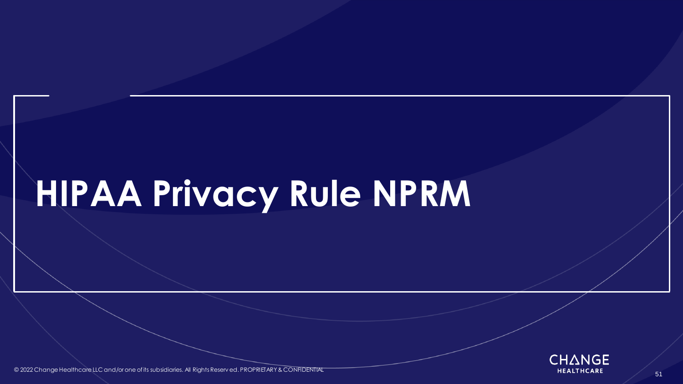# **HIPAA Privacy Rule NPRM**



<span id="page-50-0"></span>© 2022 Change Healthcare LLC and/or one of its subsidiaries. All Rights Reserv ed. PROPRIETARY & CONFIDENTIAL **All Rights Reserved and All Rights Reserved** PROPRIETARY & CONFIDENTIAL **All Rights Reserved and All Rights Res**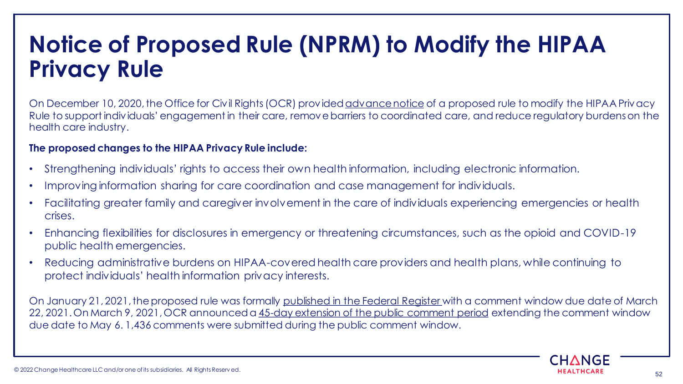### **Notice of Proposed Rule (NPRM) to Modify the HIPAA Privacy Rule**

On December 10, 2020, the Office for Civil Rights (OCR) provided [advance notice](https://www.hhs.gov/about/news/2020/12/10/hhs-proposes-modifications-hipaa-privacy-rule-empower-patients-improve-coordinated-care-reduce-regulatory-burdens.html) of a proposed rule to modify the HIPAA Privacy Rule to support individuals' engagement in their care, remove barriers to coordinated care, and reduce regulatory burdens on the health care industry.

#### **The proposed changes to the HIPAA Privacy Rule include:**

- Strengthening individuals' rights to access their own health information, including electronic information.
- Improving information sharing for care coordination and case management for individuals.
- Facilitating greater family and caregiver involvement in the care of individuals experiencing emergencies or health crises.
- Enhancing flexibilities for disclosures in emergency or threatening circumstances, such as the opioid and COVID-19 public health emergencies.
- Reducing administrative burdens on HIPAA-covered health care providers and health plans, while continuing to protect individuals' health information privacy interests.

On January 21, 2021, the proposed rule was formally [published in the Federal Register w](https://www.federalregister.gov/documents/2021/01/21/2020-27157/proposed-modifications-to-the-hipaa-privacy-rule-to-support-and-remove-barriers-to-coordinated-care)ith a comment window due date of March 22, 2021. On March 9, 2021, OCR announced a [45-day extension of the public comment period](https://public-inspection.federalregister.gov/2021-05021.pdf) extending the comment window due date to May 6. 1,436 comments were submitted during the public comment window.

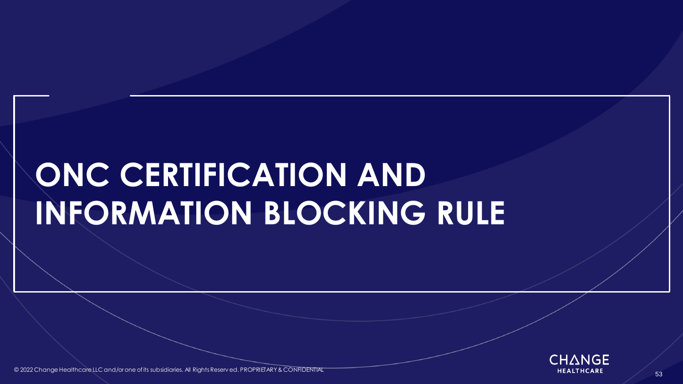# **ONC CERTIFICATION AND INFORMATION BLOCKING RULE**



<span id="page-52-0"></span>© 2022 Change Healthcare LLC and/or one of its subsidiaries. All Rights Reserv ed. PROPRIETARY & CONFIDENTIAL All reserved and the subsidiaries. All Rights Reserv ed. PROPRIETARY & CONFIDENTIAL All reserve the control of t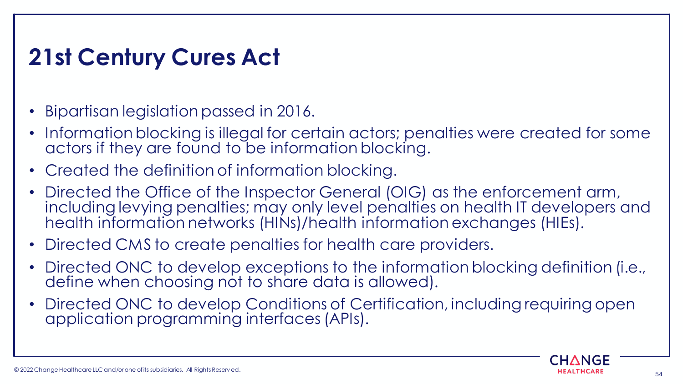# **21st Century Cures Act**

- Bipartisan legislation passed in 2016.
- Information blocking is illegal for certain actors; penalties were created for some actors if they are found to be information blocking.
- Created the definition of information blocking.
- Directed the Office of the Inspector General (OIG) as the enforcement arm, including levying penalties; may only level penalties on health IT developers and health information networks (HINs)/health information exchanges (HIEs).
- Directed CMS to create penalties for health care providers.
- Directed ONC to develop exceptions to the information blocking definition (i.e., define when choosing not to share data is allowed).
- Directed ONC to develop Conditions of Certification, including requiring open application programming interfaces (APIs).

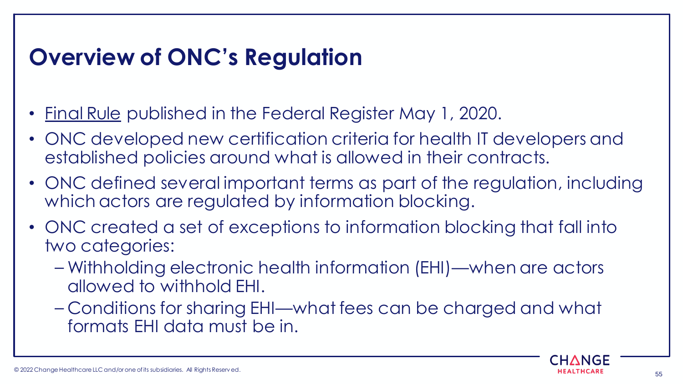# **Overview of ONC's Regulation**

- [Final Rule](https://www.federalregister.gov/documents/2020/05/01/2020-07419/21st-century-cures-act-interoperability-information-blocking-and-the-onc-health-it-certification) published in the Federal Register May 1, 2020.
- ONC developed new certification criteria for health IT developers and established policies around what is allowed in their contracts.
- ONC defined several important terms as part of the regulation, including which actors are regulated by information blocking.
- ONC created a set of exceptions to information blocking that fall into two categories:
	- Withholding electronic health information (EHI)—when are actors allowed to withhold EHI.
	- Conditions for sharing EHI—what fees can be charged and what formats EHI data must be in.

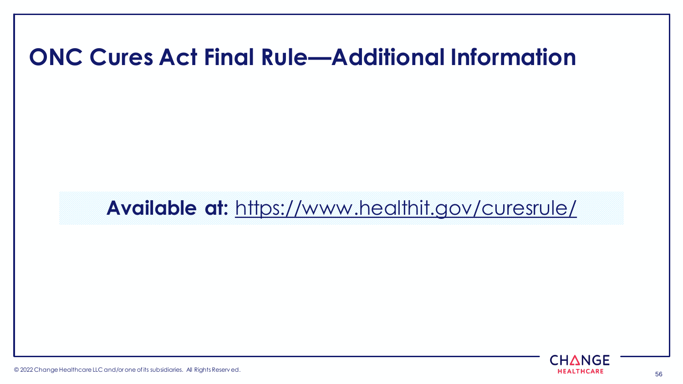### **ONC Cures Act Final Rule—Additional Information**

**Available at:** <https://www.healthit.gov/curesrule/>



© 2022 Change Healthcare LLC and/or one of its subsidiaries. All Rights Reserv ed. 56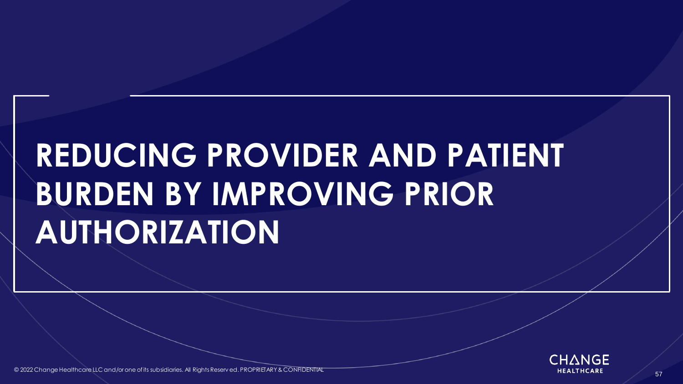# **REDUCING PROVIDER AND PATIENT BURDEN BY IMPROVING PRIOR AUTHORIZATION**



<span id="page-56-0"></span>© 2022 Change Healthcare LLC and/or one of its subsidiaries. All Rights Reserv ed. PROPRIETARY & CONFIDENTIAL All reserved and the state of the state of the state of the state of the state of the state of the state of the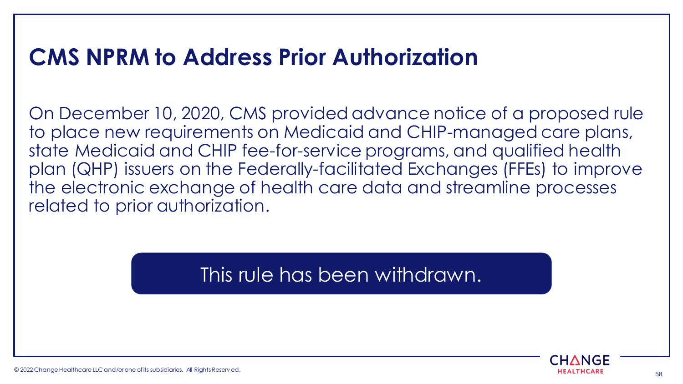### **CMS NPRM to Address Prior Authorization**

On December 10, 2020, CMS provided advance notice of a proposed rule to place new requirements on Medicaid and CHIP-managed care plans, state Medicaid and CHIP fee-for-service programs, and qualified health plan (QHP) issuers on the Federally-facilitated Exchanges (FFEs) to improve the electronic exchange of health care data and streamline processes related to prior authorization.

This rule has been withdrawn.

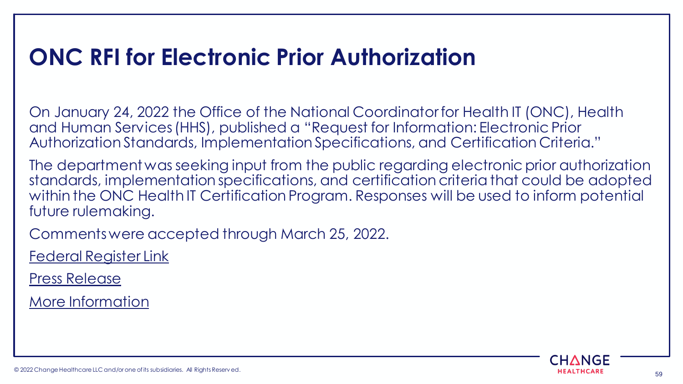## **ONC RFI for Electronic Prior Authorization**

On January 24, 2022 the Office of the National Coordinator for Health IT (ONC), Health and Human Services (HHS), published a "Request for Information: Electronic Prior Authorization Standards, Implementation Specifications, and Certification Criteria."

The department was seeking input from the public regarding electronic prior authorization standards, implementation specifications, and certification criteria that could be adopted within the ONC Health IT Certification Program. Responses will be used to inform potential future rulemaking.

Comments were accepted through March 25, 2022.

[Federal Register Link](https://www.federalregister.gov/documents/2022/01/24/2022-01309/request-for-information-electronic-prior-authorization-standards-implementation-specifications-and)

[Press Release](https://www.hhs.gov/about/news/2022/01/21/onc-seeks-public-comment-electronic-prior-authorization-standards-implementation-specifications-and-certification-criteria.html)

[More Information](https://www.healthit.gov/topic/laws-regulation-and-policy/request-information-electronic-prior-authorization-standards-implementation-specifications)

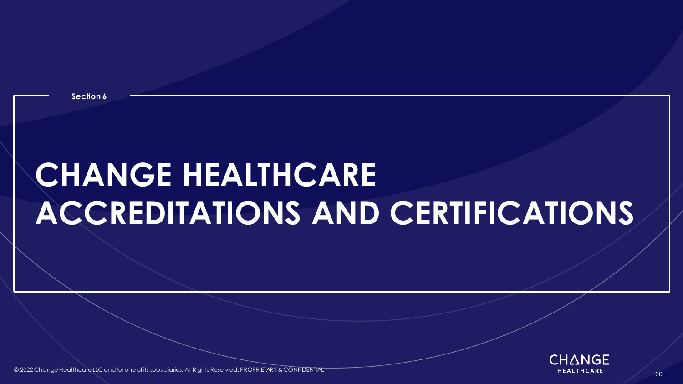**Section 6**

# **CHANGE HEALTHCARE ACCREDITATIONS AND CERTIFICATIONS**



<span id="page-59-0"></span>© 2022 Change Healthcare LLC and/or one of its subsidiaries. All Rights Reserv ed. PROPRIETARY & CONFIDENTIAL All Rights Reserved and All Rights Reserved. PROPRIETARY & CONFIDENTIAL All reserve the control of the control o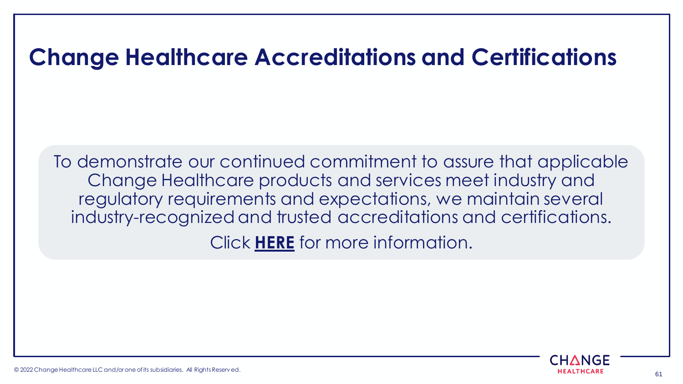### **Change Healthcare Accreditations and Certifications**

To demonstrate our continued commitment to assure that applicable Change Healthcare products and services meet industry and regulatory requirements and expectations, we maintain several industry-recognized and trusted accreditations and certifications. Click **[HERE](https://www.changehealthcare.com/about/accreditations-certifications)** for more information.